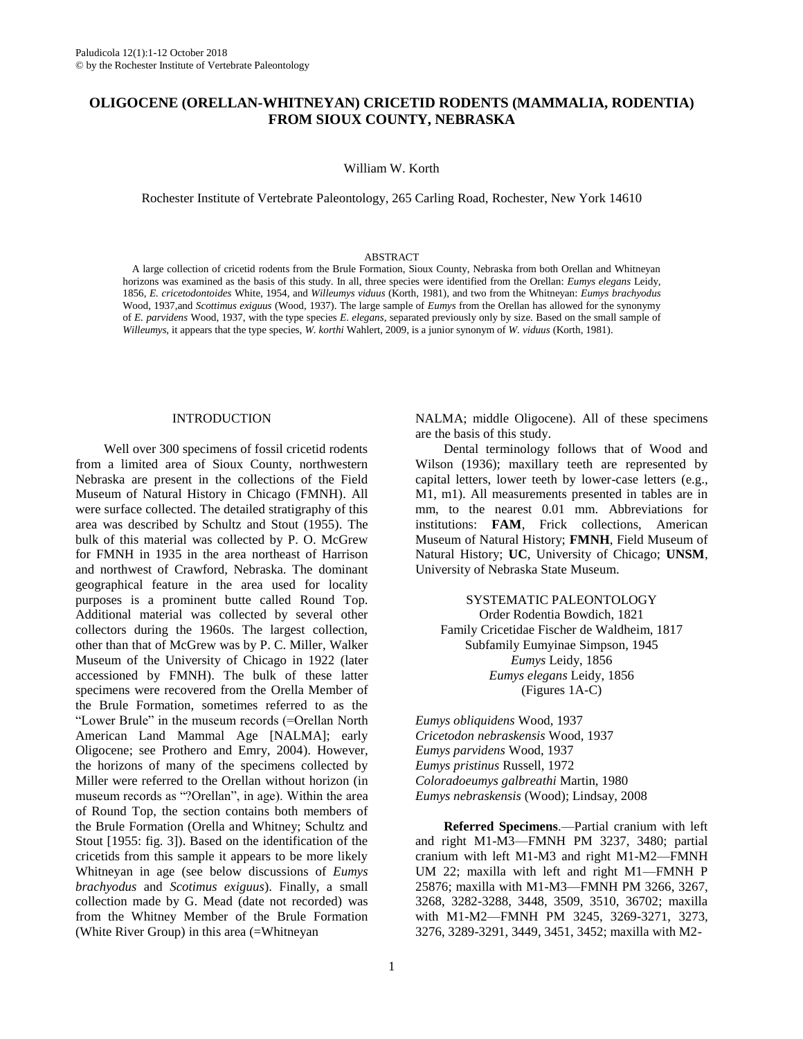# **OLIGOCENE (ORELLAN-WHITNEYAN) CRICETID RODENTS (MAMMALIA, RODENTIA) FROM SIOUX COUNTY, NEBRASKA**

William W. Korth

Rochester Institute of Vertebrate Paleontology, 265 Carling Road, Rochester, New York 14610

#### ABSTRACT

A large collection of cricetid rodents from the Brule Formation, Sioux County, Nebraska from both Orellan and Whitneyan horizons was examined as the basis of this study. In all, three species were identified from the Orellan: *Eumys elegans* Leidy, 1856, *E. cricetodontoides* White, 1954, and *Willeumys viduus* (Korth, 1981), and two from the Whitneyan: *Eumys brachyodus* Wood, 1937,and *Scottimus exiguus* (Wood, 1937). The large sample of *Eumys* from the Orellan has allowed for the synonymy of *E. parvidens* Wood, 1937, with the type species *E. elegans*, separated previously only by size. Based on the small sample of *Willeumys*, it appears that the type species, *W. korthi* Wahlert, 2009, is a junior synonym of *W. viduus* (Korth, 1981).

#### INTRODUCTION

Well over 300 specimens of fossil cricetid rodents from a limited area of Sioux County, northwestern Nebraska are present in the collections of the Field Museum of Natural History in Chicago (FMNH). All were surface collected. The detailed stratigraphy of this area was described by Schultz and Stout (1955). The bulk of this material was collected by P. O. McGrew for FMNH in 1935 in the area northeast of Harrison and northwest of Crawford, Nebraska. The dominant geographical feature in the area used for locality purposes is a prominent butte called Round Top. Additional material was collected by several other collectors during the 1960s. The largest collection, other than that of McGrew was by P. C. Miller, Walker Museum of the University of Chicago in 1922 (later accessioned by FMNH). The bulk of these latter specimens were recovered from the Orella Member of the Brule Formation, sometimes referred to as the "Lower Brule" in the museum records (=Orellan North American Land Mammal Age [NALMA]; early Oligocene; see Prothero and Emry, 2004). However, the horizons of many of the specimens collected by Miller were referred to the Orellan without horizon (in museum records as "?Orellan", in age). Within the area of Round Top, the section contains both members of the Brule Formation (Orella and Whitney; Schultz and Stout [1955: fig. 3]). Based on the identification of the cricetids from this sample it appears to be more likely Whitneyan in age (see below discussions of *Eumys brachyodus* and *Scotimus exiguus*). Finally, a small collection made by G. Mead (date not recorded) was from the Whitney Member of the Brule Formation (White River Group) in this area (=Whitneyan

Order Rodentia Bowdich, 1821 Family Cricetidae Fischer de Waldheim, 1817

University of Nebraska State Museum.

Subfamily Eumyinae Simpson, 1945 *Eumys* Leidy, 1856 *Eumys elegans* Leidy, 1856 (Figures 1A-C)

SYSTEMATIC PALEONTOLOGY

NALMA; middle Oligocene). All of these specimens

Dental terminology follows that of Wood and Wilson (1936); maxillary teeth are represented by capital letters, lower teeth by lower-case letters (e.g., M1, m1). All measurements presented in tables are in mm, to the nearest 0.01 mm. Abbreviations for institutions: **FAM**, Frick collections, American Museum of Natural History; **FMNH**, Field Museum of Natural History; **UC**, University of Chicago; **UNSM**,

are the basis of this study.

*Eumys obliquidens* Wood, 1937 *Cricetodon nebraskensis* Wood, 1937 *Eumys parvidens* Wood, 1937 *Eumys pristinus* Russell, 1972 *Coloradoeumys galbreathi* Martin, 1980 *Eumys nebraskensis* (Wood); Lindsay, 2008

**Referred Specimens**.—Partial cranium with left and right M1-M3—FMNH PM 3237, 3480; partial cranium with left M1-M3 and right M1-M2—FMNH UM 22; maxilla with left and right M1—FMNH P 25876; maxilla with M1-M3—FMNH PM 3266, 3267, 3268, 3282-3288, 3448, 3509, 3510, 36702; maxilla with M1-M2—FMNH PM 3245, 3269-3271, 3273, 3276, 3289-3291, 3449, 3451, 3452; maxilla with M2-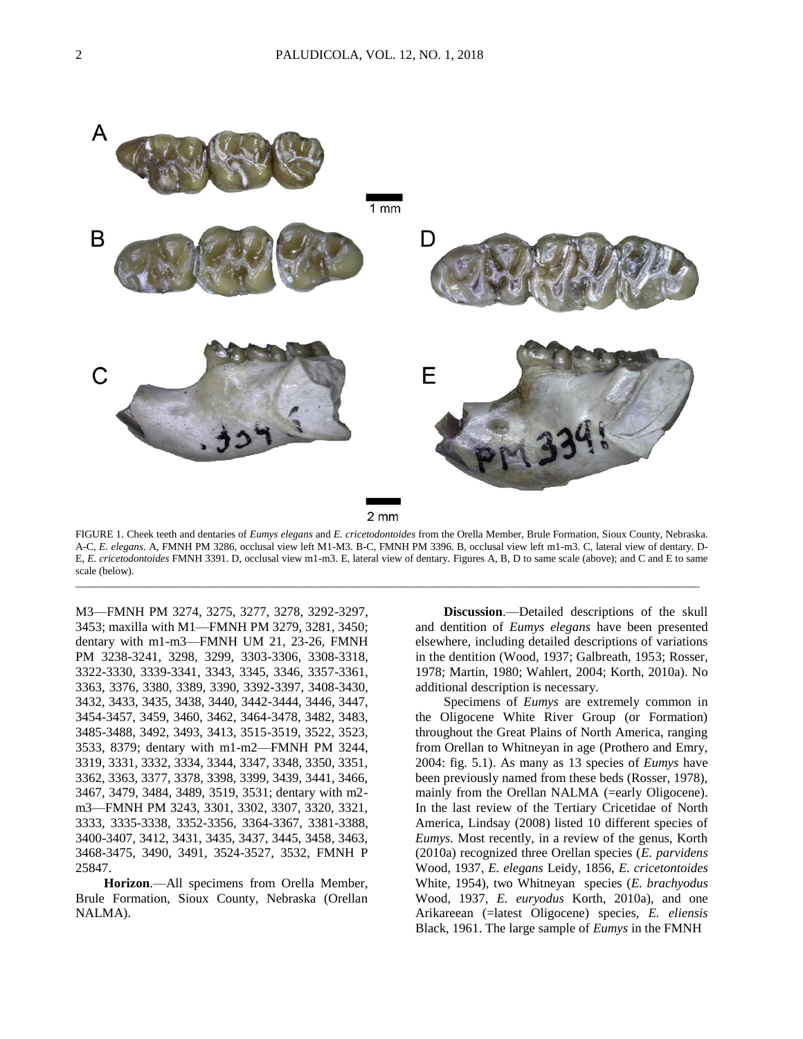

FIGURE 1. Cheek teeth and dentaries of *Eumys elegans* and *E. cricetodontoides* from the Orella Member, Brule Formation, Sioux County, Nebraska. A-C, *E. elegans*. A, FMNH PM 3286, occlusal view left M1-M3. B-C, FMNH PM 3396. B, occlusal view left m1-m3. C, lateral view of dentary. D-E, *E. cricetodontoides* FMNH 3391. D, occlusal view m1-m3. E, lateral view of dentary. Figures A, B, D to same scale (above); and C and E to same scale (below).

\_\_\_\_\_\_\_\_\_\_\_\_\_\_\_\_\_\_\_\_\_\_\_\_\_\_\_\_\_\_\_\_\_\_\_\_\_\_\_\_\_\_\_\_\_\_\_\_\_\_\_\_\_\_\_\_\_\_\_\_\_\_\_\_\_\_\_\_\_\_\_\_\_\_\_\_\_\_\_\_\_\_\_\_\_\_\_\_\_\_\_\_\_\_\_\_\_\_\_\_\_\_\_\_\_\_\_\_\_\_\_\_\_\_\_\_\_\_\_

M3—FMNH PM 3274, 3275, 3277, 3278, 3292-3297, 3453; maxilla with M1—FMNH PM 3279, 3281, 3450; dentary with m1-m3—FMNH UM 21, 23-26, FMNH PM 3238-3241, 3298, 3299, 3303-3306, 3308-3318, 3322-3330, 3339-3341, 3343, 3345, 3346, 3357-3361, 3363, 3376, 3380, 3389, 3390, 3392-3397, 3408-3430, 3432, 3433, 3435, 3438, 3440, 3442-3444, 3446, 3447, 3454-3457, 3459, 3460, 3462, 3464-3478, 3482, 3483, 3485-3488, 3492, 3493, 3413, 3515-3519, 3522, 3523, 3533, 8379; dentary with m1-m2—FMNH PM 3244, 3319, 3331, 3332, 3334, 3344, 3347, 3348, 3350, 3351, 3362, 3363, 3377, 3378, 3398, 3399, 3439, 3441, 3466, 3467, 3479, 3484, 3489, 3519, 3531; dentary with m2 m3—FMNH PM 3243, 3301, 3302, 3307, 3320, 3321, 3333, 3335-3338, 3352-3356, 3364-3367, 3381-3388, 3400-3407, 3412, 3431, 3435, 3437, 3445, 3458, 3463, 3468-3475, 3490, 3491, 3524-3527, 3532, FMNH P 25847.

**Horizon**.—All specimens from Orella Member, Brule Formation, Sioux County, Nebraska (Orellan NALMA).

**Discussion**.—Detailed descriptions of the skull and dentition of *Eumys elegans* have been presented elsewhere, including detailed descriptions of variations in the dentition (Wood, 1937; Galbreath, 1953; Rosser, 1978; Martin, 1980; Wahlert, 2004; Korth, 2010a). No additional description is necessary.

Specimens of *Eumys* are extremely common in the Oligocene White River Group (or Formation) throughout the Great Plains of North America, ranging from Orellan to Whitneyan in age (Prothero and Emry, 2004: fig. 5.1). As many as 13 species of *Eumys* have been previously named from these beds (Rosser, 1978), mainly from the Orellan NALMA (=early Oligocene). In the last review of the Tertiary Cricetidae of North America, Lindsay (2008) listed 10 different species of *Eumys.* Most recently, in a review of the genus, Korth (2010a) recognized three Orellan species (*E. parvidens* Wood, 1937*, E. elegans* Leidy, 1856, *E. cricetontoides* White, 1954), two Whitneyan species (*E. brachyodus* Wood, 1937, *E. euryodus* Korth, 2010a), and one Arikareean (=latest Oligocene) species, *E. eliensis* Black, 1961. The large sample of *Eumys* in the FMNH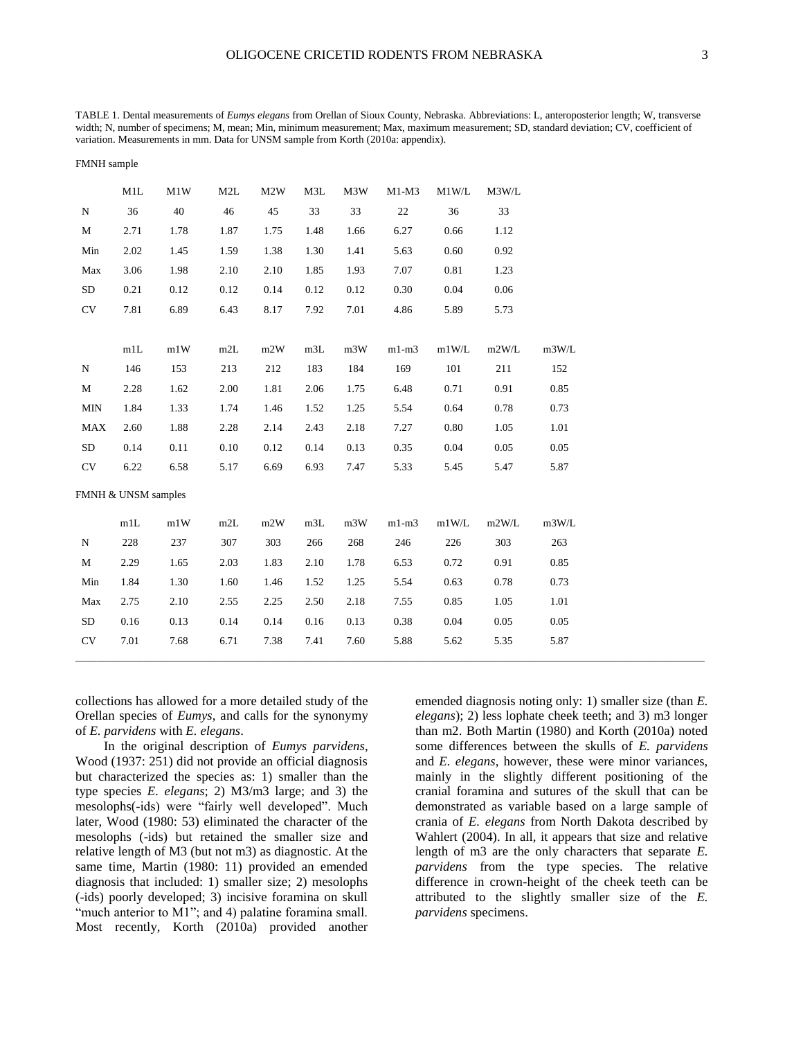TABLE 1. Dental measurements of *Eumys elegans* from Orellan of Sioux County, Nebraska. Abbreviations: L, anteroposterior length; W, transverse width; N, number of specimens; M, mean; Min, minimum measurement; Max, maximum measurement; SD, standard deviation; CV, coefficient of variation. Measurements in mm. Data for UNSM sample from Korth (2010a: appendix).

|             | M1L                 | M1W  | M2L  | M2W  | M3L  | M3W  | $M1-M3$ | M1W/L | M3W/L    |       |
|-------------|---------------------|------|------|------|------|------|---------|-------|----------|-------|
| ${\bf N}$   | 36                  | 40   | 46   | 45   | 33   | 33   | 22      | 36    | 33       |       |
| $\mathbf M$ | 2.71                | 1.78 | 1.87 | 1.75 | 1.48 | 1.66 | 6.27    | 0.66  | 1.12     |       |
| Min         | 2.02                | 1.45 | 1.59 | 1.38 | 1.30 | 1.41 | 5.63    | 0.60  | 0.92     |       |
| Max         | 3.06                | 1.98 | 2.10 | 2.10 | 1.85 | 1.93 | 7.07    | 0.81  | 1.23     |       |
| <b>SD</b>   | 0.21                | 0.12 | 0.12 | 0.14 | 0.12 | 0.12 | 0.30    | 0.04  | 0.06     |       |
| <b>CV</b>   | 7.81                | 6.89 | 6.43 | 8.17 | 7.92 | 7.01 | 4.86    | 5.89  | 5.73     |       |
|             |                     |      |      |      |      |      |         |       |          |       |
|             | m1L                 | m1W  | m2L  | m2W  | m3L  | m3W  | $m1-m3$ | m1W/L | m2W/L    | m3W/L |
| ${\bf N}$   | 146                 | 153  | 213  | 212  | 183  | 184  | 169     | 101   | 211      | 152   |
| $\mathbf M$ | 2.28                | 1.62 | 2.00 | 1.81 | 2.06 | 1.75 | 6.48    | 0.71  | 0.91     | 0.85  |
| <b>MIN</b>  | 1.84                | 1.33 | 1.74 | 1.46 | 1.52 | 1.25 | 5.54    | 0.64  | 0.78     | 0.73  |
| <b>MAX</b>  | 2.60                | 1.88 | 2.28 | 2.14 | 2.43 | 2.18 | 7.27    | 0.80  | 1.05     | 1.01  |
| <b>SD</b>   | 0.14                | 0.11 | 0.10 | 0.12 | 0.14 | 0.13 | 0.35    | 0.04  | 0.05     | 0.05  |
| CV          | 6.22                | 6.58 | 5.17 | 6.69 | 6.93 | 7.47 | 5.33    | 5.45  | 5.47     | 5.87  |
|             | FMNH & UNSM samples |      |      |      |      |      |         |       |          |       |
|             |                     |      |      |      |      |      |         |       |          |       |
|             | m1L                 | m1W  | m2L  | m2W  | m3L  | m3W  | $m1-m3$ | m1W/L | m2W/L    | m3W/L |
| ${\bf N}$   | 228                 | 237  | 307  | 303  | 266  | 268  | 246     | 226   | 303      | 263   |
| $\mathbf M$ | 2.29                | 1.65 | 2.03 | 1.83 | 2.10 | 1.78 | 6.53    | 0.72  | 0.91     | 0.85  |
| Min         | 1.84                | 1.30 | 1.60 | 1.46 | 1.52 | 1.25 | 5.54    | 0.63  | 0.78     | 0.73  |
| Max         | 2.75                | 2.10 | 2.55 | 2.25 | 2.50 | 2.18 | 7.55    | 0.85  | 1.05     | 1.01  |
| <b>SD</b>   | 0.16                | 0.13 | 0.14 | 0.14 | 0.16 | 0.13 | 0.38    | 0.04  | $0.05\,$ | 0.05  |
| CV          | 7.01                | 7.68 | 6.71 | 7.38 | 7.41 | 7.60 | 5.88    | 5.62  | 5.35     | 5.87  |
|             |                     |      |      |      |      |      |         |       |          |       |

collections has allowed for a more detailed study of the Orellan species of *Eumys*, and calls for the synonymy of *E. parvidens* with *E. elegans*.

FMNH sample

In the original description of *Eumys parvidens*, Wood (1937: 251) did not provide an official diagnosis but characterized the species as: 1) smaller than the type species *E. elegans*; 2) M3/m3 large; and 3) the mesolophs(-ids) were "fairly well developed". Much later, Wood (1980: 53) eliminated the character of the mesolophs (-ids) but retained the smaller size and relative length of M3 (but not m3) as diagnostic. At the same time, Martin (1980: 11) provided an emended diagnosis that included: 1) smaller size; 2) mesolophs (-ids) poorly developed; 3) incisive foramina on skull "much anterior to M1"; and 4) palatine foramina small. Most recently, Korth (2010a) provided another emended diagnosis noting only: 1) smaller size (than *E. elegans*); 2) less lophate cheek teeth; and 3) m3 longer than m2. Both Martin (1980) and Korth (2010a) noted some differences between the skulls of *E. parvidens* and *E. elegans*, however, these were minor variances, mainly in the slightly different positioning of the cranial foramina and sutures of the skull that can be demonstrated as variable based on a large sample of crania of *E. elegans* from North Dakota described by Wahlert (2004). In all, it appears that size and relative length of m3 are the only characters that separate *E. parvidens* from the type species. The relative difference in crown-height of the cheek teeth can be attributed to the slightly smaller size of the *E. parvidens* specimens.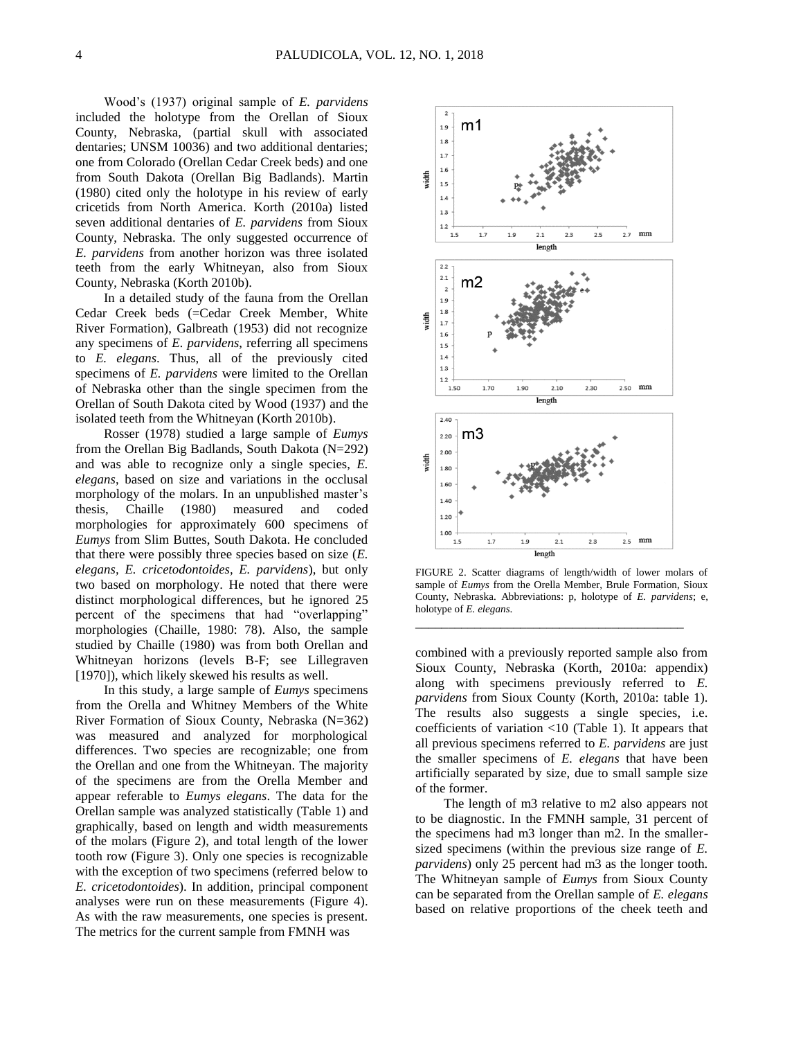Wood's (1937) original sample of *E. parvidens*  included the holotype from the Orellan of Sioux County, Nebraska, (partial skull with associated dentaries; UNSM 10036) and two additional dentaries; one from Colorado (Orellan Cedar Creek beds) and one from South Dakota (Orellan Big Badlands). Martin (1980) cited only the holotype in his review of early cricetids from North America. Korth (2010a) listed seven additional dentaries of *E. parvidens* from Sioux County, Nebraska. The only suggested occurrence of *E. parvidens* from another horizon was three isolated teeth from the early Whitneyan, also from Sioux County, Nebraska (Korth 2010b).

In a detailed study of the fauna from the Orellan Cedar Creek beds (=Cedar Creek Member, White River Formation), Galbreath (1953) did not recognize any specimens of *E. parvidens*, referring all specimens to *E. elegans*. Thus, all of the previously cited specimens of *E. parvidens* were limited to the Orellan of Nebraska other than the single specimen from the Orellan of South Dakota cited by Wood (1937) and the isolated teeth from the Whitneyan (Korth 2010b).

Rosser (1978) studied a large sample of *Eumys*  from the Orellan Big Badlands, South Dakota (N=292) and was able to recognize only a single species, *E. elegans*, based on size and variations in the occlusal morphology of the molars. In an unpublished master's thesis, Chaille (1980) measured and coded morphologies for approximately 600 specimens of *Eumys* from Slim Buttes, South Dakota. He concluded that there were possibly three species based on size (*E. elegans, E. cricetodontoides, E. parvidens*), but only two based on morphology. He noted that there were distinct morphological differences, but he ignored 25 percent of the specimens that had "overlapping" morphologies (Chaille, 1980: 78). Also, the sample studied by Chaille (1980) was from both Orellan and Whitneyan horizons (levels B-F; see Lillegraven [1970]), which likely skewed his results as well.

In this study, a large sample of *Eumys* specimens from the Orella and Whitney Members of the White River Formation of Sioux County, Nebraska (N=362) was measured and analyzed for morphological differences. Two species are recognizable; one from the Orellan and one from the Whitneyan. The majority of the specimens are from the Orella Member and appear referable to *Eumys elegans*. The data for the Orellan sample was analyzed statistically (Table 1) and graphically, based on length and width measurements of the molars (Figure 2), and total length of the lower tooth row (Figure 3). Only one species is recognizable with the exception of two specimens (referred below to *E. cricetodontoides*). In addition, principal component analyses were run on these measurements (Figure 4). As with the raw measurements, one species is present. The metrics for the current sample from FMNH was



FIGURE 2. Scatter diagrams of length/width of lower molars of sample of *Eumys* from the Orella Member, Brule Formation, Sioux County, Nebraska. Abbreviations: p, holotype of *E. parvidens*; e, holotype of *E. elegans*.

\_\_\_\_\_\_\_\_\_\_\_\_\_\_\_\_\_\_\_\_\_\_\_\_\_\_\_\_\_\_\_\_\_\_\_\_\_\_\_\_\_

combined with a previously reported sample also from Sioux County, Nebraska (Korth, 2010a: appendix) along with specimens previously referred to *E. parvidens* from Sioux County (Korth, 2010a: table 1). The results also suggests a single species, i.e. coefficients of variation <10 (Table 1). It appears that all previous specimens referred to *E. parvidens* are just the smaller specimens of *E. elegans* that have been artificially separated by size, due to small sample size of the former.

The length of m3 relative to m2 also appears not to be diagnostic. In the FMNH sample, 31 percent of the specimens had m3 longer than m2. In the smallersized specimens (within the previous size range of *E. parvidens*) only 25 percent had m3 as the longer tooth. The Whitneyan sample of *Eumys* from Sioux County can be separated from the Orellan sample of *E. elegans* based on relative proportions of the cheek teeth and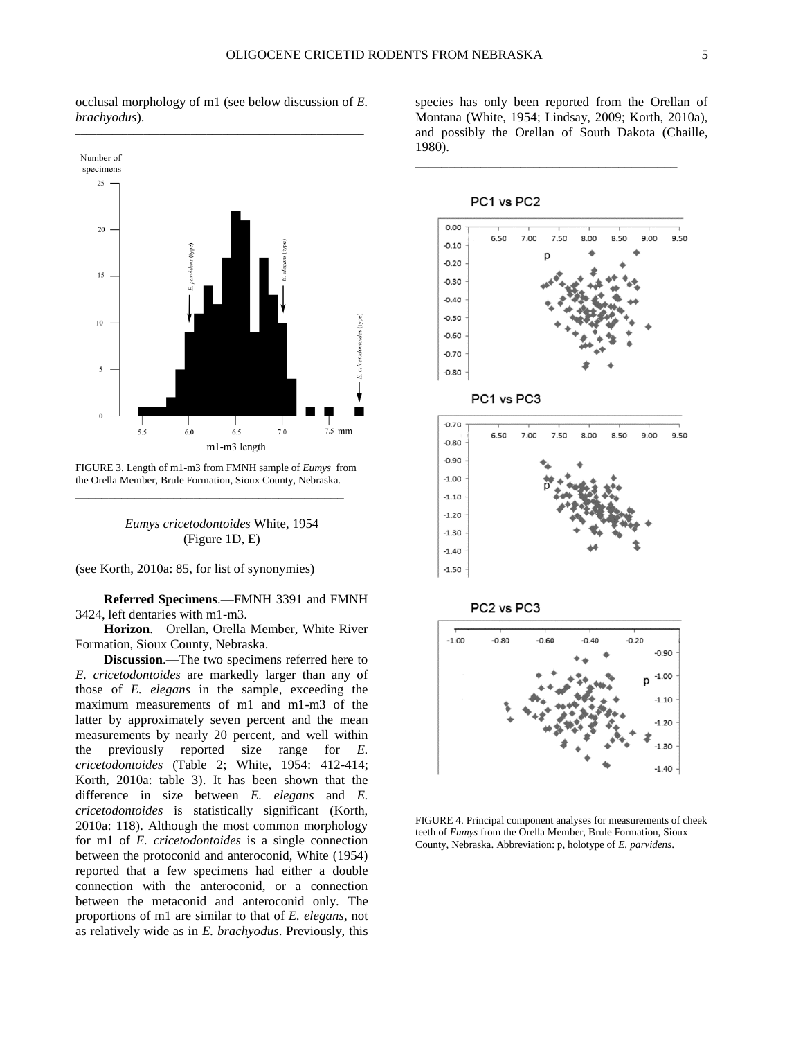occlusal morphology of m1 (see below discussion of *E. brachyodus*).



FIGURE 3. Length of m1-m3 from FMNH sample of *Eumys* from the Orella Member, Brule Formation, Sioux County, Nebraska. \_\_\_\_\_\_\_\_\_\_\_\_\_\_\_\_\_\_\_\_\_\_\_\_\_\_\_\_\_\_\_\_\_\_\_\_\_\_\_\_\_

*Eumys cricetodontoides* White, 1954 (Figure 1D, E)

(see Korth, 2010a: 85, for list of synonymies)

**Referred Specimens**.—FMNH 3391 and FMNH 3424, left dentaries with m1-m3.

**Horizon**.—Orellan, Orella Member, White River Formation, Sioux County, Nebraska.

**Discussion**.—The two specimens referred here to *E. cricetodontoides* are markedly larger than any of those of *E. elegans* in the sample, exceeding the maximum measurements of m1 and m1-m3 of the latter by approximately seven percent and the mean measurements by nearly 20 percent, and well within the previously reported size range for *E. cricetodontoides* (Table 2; White, 1954: 412-414; Korth, 2010a: table 3). It has been shown that the difference in size between *E. elegans* and *E. cricetodontoides* is statistically significant (Korth, 2010a: 118). Although the most common morphology for m1 of *E. cricetodontoides* is a single connection between the protoconid and anteroconid, White (1954) reported that a few specimens had either a double connection with the anteroconid, or a connection between the metaconid and anteroconid only. The proportions of m1 are similar to that of *E. elegans*, not as relatively wide as in *E. brachyodus*. Previously, this

species has only been reported from the Orellan of Montana (White, 1954; Lindsay, 2009; Korth, 2010a), and possibly the Orellan of South Dakota (Chaille, 1980).

\_\_\_\_\_\_\_\_\_\_\_\_\_\_\_\_\_\_\_\_\_\_\_\_\_\_\_\_\_\_\_\_\_\_\_\_\_\_\_\_

PC1 vs PC2  $0.00$  $700$  $9.00$ 650 750  $800$ 850 950  $-0.10$ n  $-0.20$  $-0.30$  $-0.40$  $-0.50$  $-0.60$  $-0.70$  $-0.80$ PC1 vs PC3  $-0.70$ 6.50 7.00 7.50 8.00 8.50 9.00 9.50  $0.80$ -0.90  $-1.00$  $-1.10$  $-1.20$  $-1.30$  $-1.40$  $-1.50$ PC2 vs PC3  $-1.00$  $-0.80$  $-0.60$  $-0.20$  $-0.40$  $-0.90$  $-1.00$ D  $-1.10$  $-1.20$  $-1.30$  $-1.40$ 

FIGURE 4. Principal component analyses for measurements of cheek teeth of *Eumys* from the Orella Member, Brule Formation, Sioux County, Nebraska. Abbreviation: p, holotype of *E. parvidens*.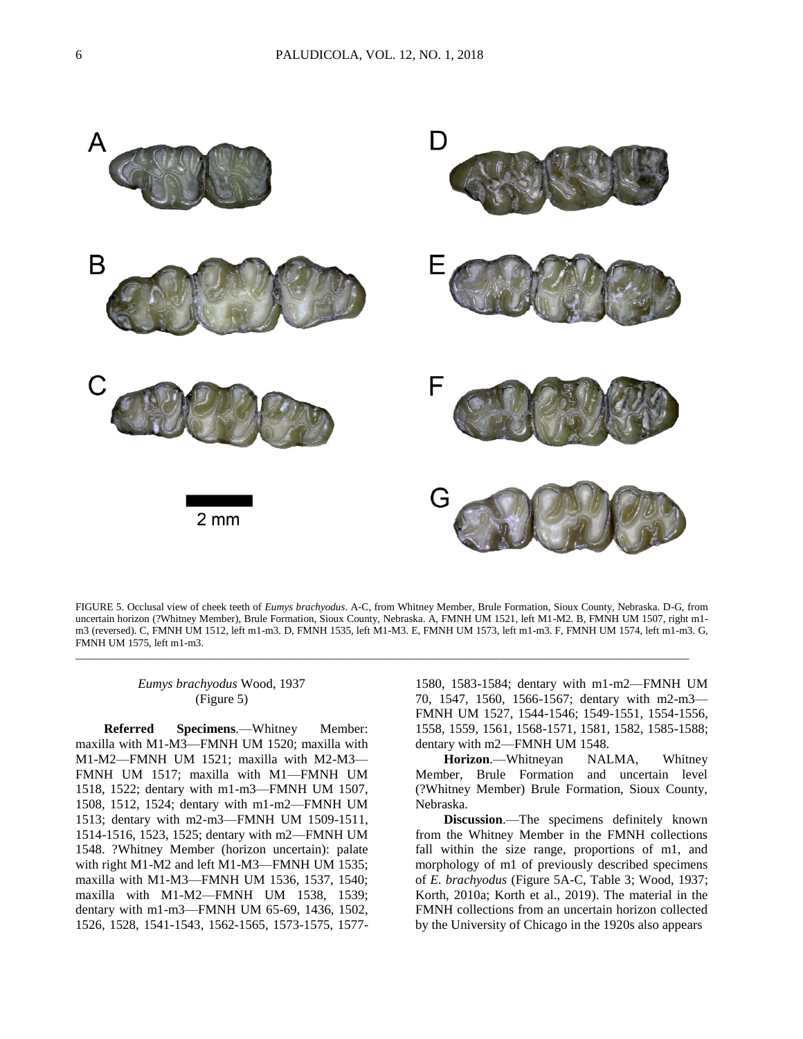

FIGURE 5. Occlusal view of cheek teeth of *Eumys brachyodus*. A-C, from Whitney Member, Brule Formation, Sioux County, Nebraska. D-G, from uncertain horizon (?Whitney Member), Brule Formation, Sioux County, Nebraska. A, FMNH UM 1521, left M1-M2. B, FMNH UM 1507, right m1 m3 (reversed). C, FMNH UM 1512, left m1-m3. D, FMNH 1535, left M1-M3. E, FMNH UM 1573, left m1-m3. F, FMNH UM 1574, left m1-m3. G, FMNH UM 1575, left m1-m3.

\_\_\_\_\_\_\_\_\_\_\_\_\_\_\_\_\_\_\_\_\_\_\_\_\_\_\_\_\_\_\_\_\_\_\_\_\_\_\_\_\_\_\_\_\_\_\_\_\_\_\_\_\_\_\_\_\_\_\_\_\_\_\_\_\_\_\_\_\_\_\_\_\_\_\_\_\_\_\_\_\_\_\_\_\_\_\_\_\_\_\_\_\_\_\_\_\_\_\_\_\_\_\_\_\_\_\_\_\_\_\_\_\_\_\_\_\_

## *Eumys brachyodus* Wood, 1937 (Figure 5)

**Referred Specimens**.—Whitney Member: maxilla with M1-M3—FMNH UM 1520; maxilla with M1-M2—FMNH UM 1521; maxilla with M2-M3— FMNH UM 1517; maxilla with M1—FMNH UM 1518, 1522; dentary with m1-m3—FMNH UM 1507, 1508, 1512, 1524; dentary with m1-m2—FMNH UM 1513; dentary with m2-m3—FMNH UM 1509-1511, 1514-1516, 1523, 1525; dentary with m2—FMNH UM 1548. ?Whitney Member (horizon uncertain): palate with right M1-M2 and left M1-M3—FMNH UM 1535; maxilla with M1-M3—FMNH UM 1536, 1537, 1540; maxilla with M1-M2—FMNH UM 1538, 1539; dentary with m1-m3—FMNH UM 65-69, 1436, 1502, 1526, 1528, 1541-1543, 1562-1565, 1573-1575, 1577-

1580, 1583-1584; dentary with m1-m2—FMNH UM 70, 1547, 1560, 1566-1567; dentary with m2-m3— FMNH UM 1527, 1544-1546; 1549-1551, 1554-1556, 1558, 1559, 1561, 1568-1571, 1581, 1582, 1585-1588; dentary with m2—FMNH UM 1548.

**Horizon**.—Whitneyan NALMA, Whitney Member, Brule Formation and uncertain level (?Whitney Member) Brule Formation, Sioux County, Nebraska.

**Discussion**.—The specimens definitely known from the Whitney Member in the FMNH collections fall within the size range, proportions of m1, and morphology of m1 of previously described specimens of *E. brachyodus* (Figure 5A-C, Table 3; Wood, 1937; Korth, 2010a; Korth et al., 2019). The material in the FMNH collections from an uncertain horizon collected by the University of Chicago in the 1920s also appears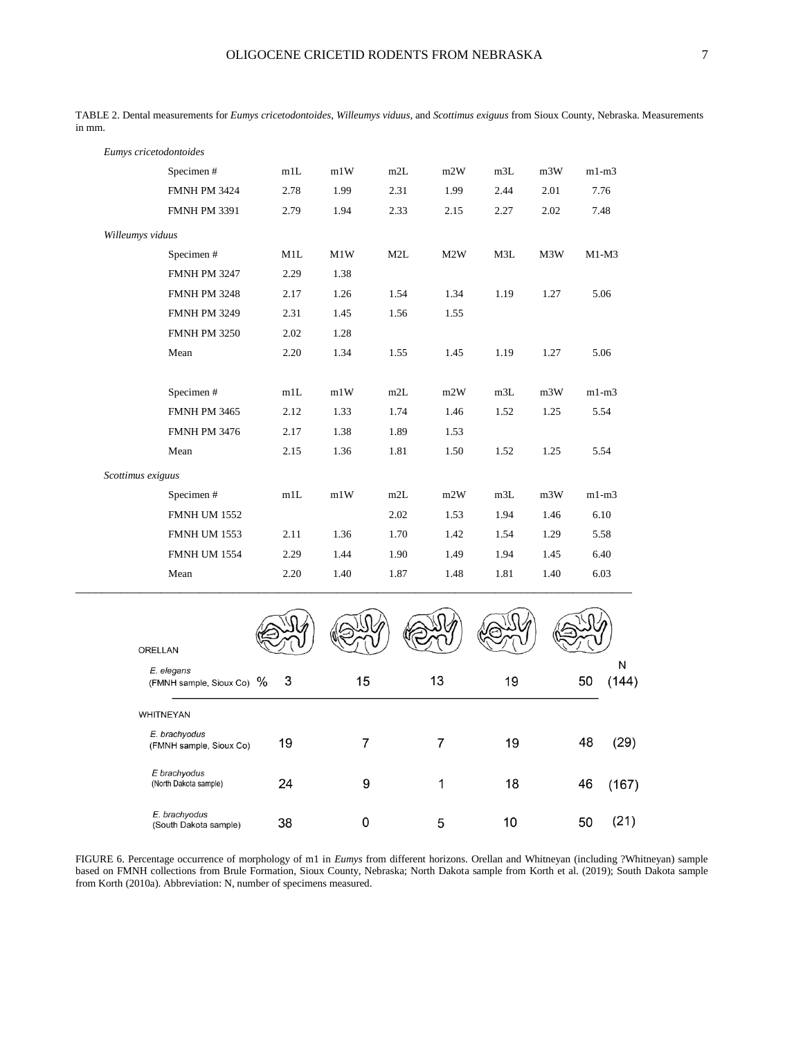|                   | Eumys cricetodontoides |      |      |      |      |      |      |         |
|-------------------|------------------------|------|------|------|------|------|------|---------|
|                   | Specimen#              | m1L  | m1W  | m2L  | m2W  | m3L  | m3W  | $m1-m3$ |
|                   | <b>FMNH PM 3424</b>    | 2.78 | 1.99 | 2.31 | 1.99 | 2.44 | 2.01 | 7.76    |
|                   | <b>FMNH PM 3391</b>    | 2.79 | 1.94 | 2.33 | 2.15 | 2.27 | 2.02 | 7.48    |
| Willeumys viduus  |                        |      |      |      |      |      |      |         |
|                   | Specimen#              | M1L  | M1W  | M2L  | M2W  | M3L  | M3W  | $M1-M3$ |
|                   | <b>FMNH PM 3247</b>    | 2.29 | 1.38 |      |      |      |      |         |
|                   | <b>FMNH PM 3248</b>    | 2.17 | 1.26 | 1.54 | 1.34 | 1.19 | 1.27 | 5.06    |
|                   | <b>FMNH PM 3249</b>    | 2.31 | 1.45 | 1.56 | 1.55 |      |      |         |
|                   | <b>FMNH PM 3250</b>    | 2.02 | 1.28 |      |      |      |      |         |
|                   | Mean                   | 2.20 | 1.34 | 1.55 | 1.45 | 1.19 | 1.27 | 5.06    |
|                   | Specimen#              | m1L  | m1W  | m2L  | m2W  | m3L  | m3W  | $m1-m3$ |
|                   | <b>FMNH PM 3465</b>    | 2.12 | 1.33 | 1.74 | 1.46 | 1.52 | 1.25 | 5.54    |
|                   | <b>FMNH PM 3476</b>    | 2.17 | 1.38 | 1.89 | 1.53 |      |      |         |
|                   | Mean                   | 2.15 | 1.36 | 1.81 | 1.50 | 1.52 | 1.25 | 5.54    |
| Scottimus exiguus |                        |      |      |      |      |      |      |         |
|                   | Specimen#              | m1L  | m1W  | m2L  | m2W  | m3L  | m3W  | $m1-m3$ |
|                   | <b>FMNH UM 1552</b>    |      |      | 2.02 | 1.53 | 1.94 | 1.46 | 6.10    |
|                   | <b>FMNH UM 1553</b>    | 2.11 | 1.36 | 1.70 | 1.42 | 1.54 | 1.29 | 5.58    |
|                   | <b>FMNH UM 1554</b>    | 2.29 | 1.44 | 1.90 | 1.49 | 1.94 | 1.45 | 6.40    |
|                   | Mean                   | 2.20 | 1.40 | 1.87 | 1.48 | 1.81 | 1.40 | 6.03    |

TABLE 2. Dental measurements for *Eumys cricetodontoides*, *Willeumys viduus*, and *Scottimus exiguus* from Sioux County, Nebraska. Measurements in mm.

| <b>ORELLAN</b>                           |    |    |    |    |    |            |
|------------------------------------------|----|----|----|----|----|------------|
| E. elegans<br>(FMNH sample, Sioux Co) %  | -3 | 15 | 13 | 19 | 50 | N<br>(144) |
| <b>WHITNEYAN</b>                         |    |    |    |    |    |            |
| E. brachyodus<br>(FMNH sample, Sioux Co) | 19 | 7  |    | 19 | 48 | (29)       |
| E brachyodus<br>(North Dakota sample)    | 24 | 9  | 1  | 18 | 46 | (167)      |
| E. brachyodus<br>(South Dakota sample)   | 38 | 0  | 5  | 10 | 50 | (21)       |

FIGURE 6. Percentage occurrence of morphology of m1 in *Eumys* from different horizons. Orellan and Whitneyan (including ?Whitneyan) sample based on FMNH collections from Brule Formation, Sioux County, Nebraska; North Dakota sample from Korth et al. (2019); South Dakota sample from Korth (2010a). Abbreviation: N, number of specimens measured.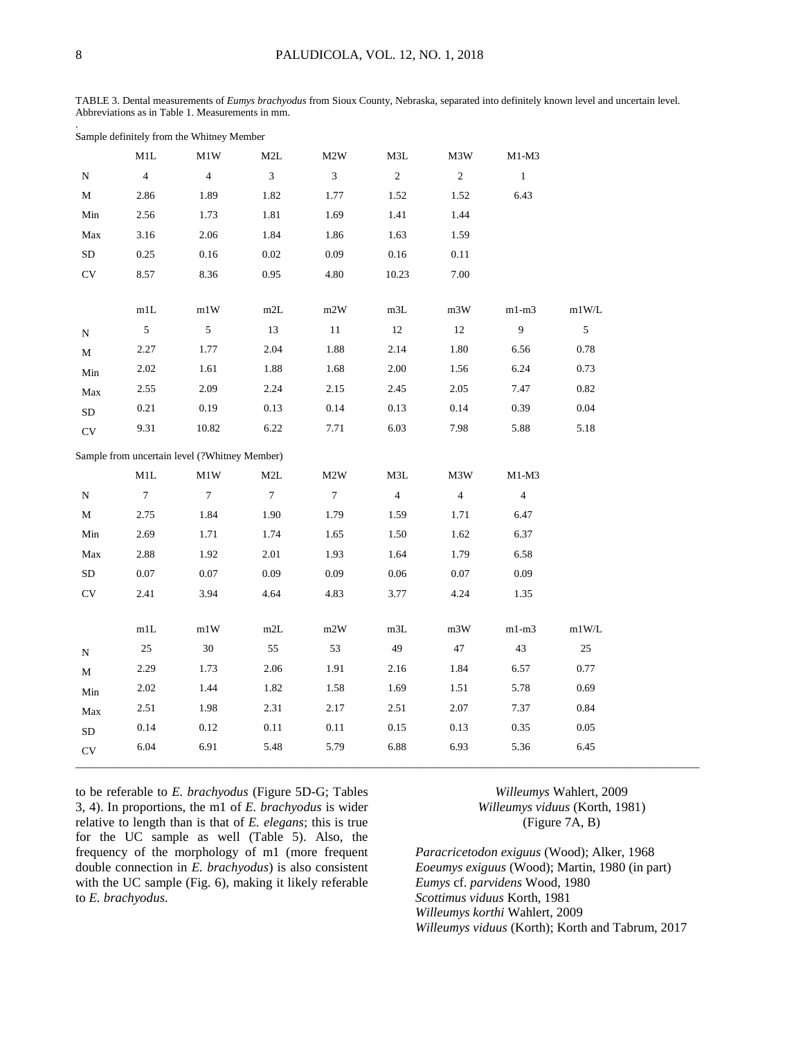TABLE 3. Dental measurements of *Eumys brachyodus* from Sioux County, Nebraska, separated into definitely known level and uncertain level. Abbreviations as in Table 1. Measurements in mm.

Sample definitely from the Whitney Member

|                      | M1L             | M1W                                           | M2L             | M2W             | M3L            | M3W            | M1-M3          |                |
|----------------------|-----------------|-----------------------------------------------|-----------------|-----------------|----------------|----------------|----------------|----------------|
| N                    | $\overline{4}$  | $\overline{4}$                                | $\mathfrak{Z}$  | 3 <sup>7</sup>  | $\overline{2}$ | $\overline{c}$ | $\mathbf{1}$   |                |
| М                    | 2.86            | 1.89                                          | 1.82            | 1.77            | 1.52           | 1.52           | 6.43           |                |
| Min                  | 2.56            | 1.73                                          | 1.81            | 1.69            | 1.41           | 1.44           |                |                |
| Max                  | 3.16            | 2.06                                          | 1.84            | 1.86            | 1.63           | 1.59           |                |                |
| ${\rm SD}$           | 0.25            | 0.16                                          | $0.02\,$        | 0.09            | $0.16\,$       | 0.11           |                |                |
| CV                   | 8.57            | 8.36                                          | 0.95            | 4.80            | 10.23          | 7.00           |                |                |
|                      |                 |                                               |                 |                 |                |                |                |                |
|                      | $\rm m1L$       | m1W                                           | $\rm m2L$       | m2W             | m3L            | m3W            | $m1-m3$        | m1W/L          |
| ${\bf N}$            | 5 <sub>5</sub>  | 5 <sub>5</sub>                                | 13              | 11              | 12             | 12             | 9              | $\mathfrak{S}$ |
| М                    | 2.27            | 1.77                                          | 2.04            | 1.88            | 2.14           | 1.80           | 6.56           | 0.78           |
| Min                  | 2.02            | 1.61                                          | 1.88            | 1.68            | 2.00           | 1.56           | 6.24           | 0.73           |
| ${\rm Max}$          | 2.55            | 2.09                                          | 2.24            | 2.15            | 2.45           | 2.05           | 7.47           | 0.82           |
| ${\rm SD}$           | 0.21            | 0.19                                          | 0.13            | 0.14            | 0.13           | 0.14           | 0.39           | 0.04           |
| $\mathrm{CV}$        | 9.31            | 10.82                                         | 6.22            | 7.71            | 6.03           | 7.98           | 5.88           | 5.18           |
|                      |                 | Sample from uncertain level (?Whitney Member) |                 |                 |                |                |                |                |
|                      | M1L             | M1W                                           | M2L             | M2W             | M3L            | M3W            | $M1-M3$        |                |
| N                    | $7\phantom{.0}$ | $7\phantom{.0}$                               | $7\overline{ }$ | $7\overline{ }$ | $\overline{4}$ | $\overline{4}$ | $\overline{4}$ |                |
| М                    | 2.75            | 1.84                                          | 1.90            | 1.79            | 1.59           | 1.71           | 6.47           |                |
| Min                  | 2.69            | 1.71                                          | 1.74            | 1.65            | 1.50           | 1.62           | 6.37           |                |
| Max                  | 2.88            | 1.92                                          | 2.01            | 1.93            | 1.64           | 1.79           | 6.58           |                |
| SD                   | 0.07            | 0.07                                          | 0.09            | 0.09            | 0.06           | 0.07           | 0.09           |                |
| $\mathrm{CV}$        | 2.41            | 3.94                                          | 4.64            | 4.83            | 3.77           | 4.24           | 1.35           |                |
|                      |                 |                                               |                 |                 |                |                |                |                |
|                      | $\rm m1L$       | m1W                                           | $\rm m2L$       | m2W             | m3L            | m3W            | $m1-m3$        | $m1W/L$        |
| N                    | 25              | $30\,$                                        | 55              | 53              | 49             | 47             | 43             | 25             |
| М                    | 2.29            | 1.73                                          | 2.06            | 1.91            | 2.16           | 1.84           | 6.57           | 0.77           |
| Min                  | 2.02            | 1.44                                          | 1.82            | 1.58            | 1.69           | 1.51           | 5.78           | 0.69           |
| $\operatorname{Max}$ | 2.51            | 1.98                                          | 2.31            | 2.17            | 2.51           | 2.07           | 7.37           | 0.84           |
| ${\rm SD}$           | 0.14            | 0.12                                          | 0.11            | 0.11            | 0.15           | 0.13           | 0.35           | 0.05           |
| <b>CV</b>            | 6.04            | 6.91                                          | 5.48            | 5.79            | 6.88           | 6.93           | 5.36           | 6.45           |

to be referable to *E. brachyodus* (Figure 5D-G; Tables 3, 4). In proportions, the m1 of *E. brachyodus* is wider relative to length than is that of *E. elegans*; this is true for the UC sample as well (Table 5). Also, the frequency of the morphology of m1 (more frequent double connection in *E. brachyodus*) is also consistent with the UC sample (Fig. 6), making it likely referable to *E. brachyodus*.

*Willeumys* Wahlert, 2009 *Willeumys viduus* (Korth, 1981) (Figure 7A, B)

*Paracricetodon exiguus* (Wood); Alker, 1968 *Eoeumys exiguus* (Wood); Martin, 1980 (in part) *Eumys* cf. *parvidens* Wood, 1980 *Scottimus viduus* Korth, 1981 *Willeumys korthi* Wahlert, 2009 *Willeumys viduus* (Korth); Korth and Tabrum, 2017

.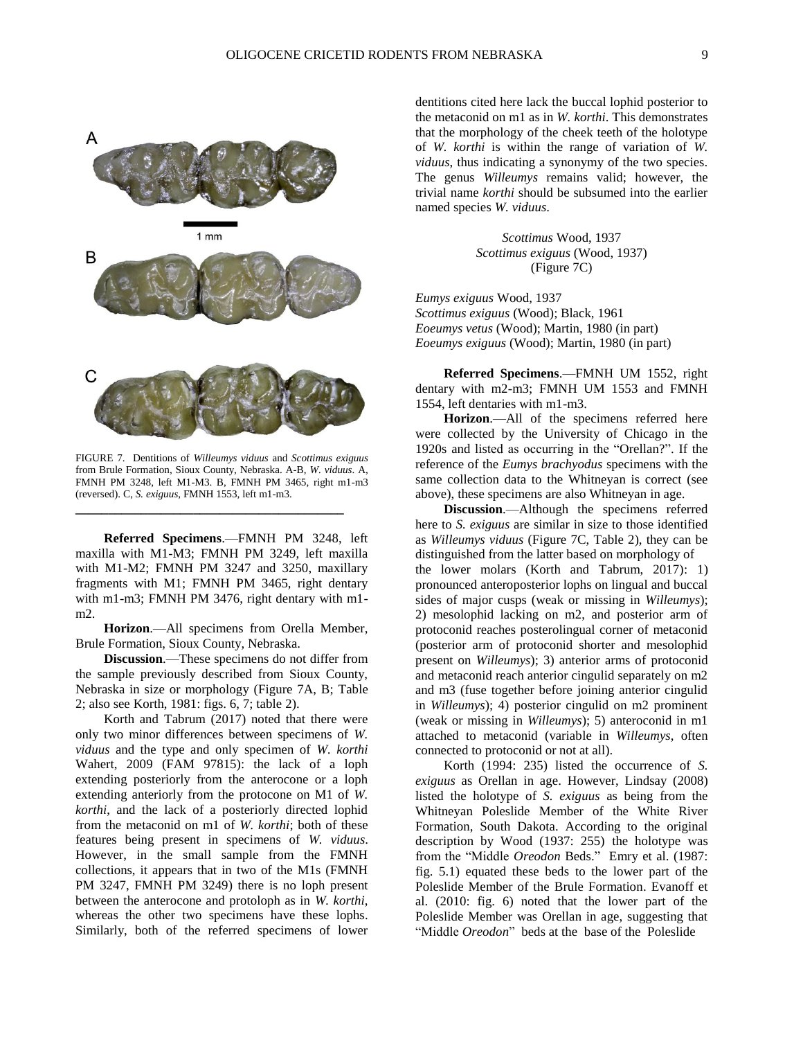

FIGURE 7. Dentitions of *Willeumys viduus* and *Scottimus exiguus* from Brule Formation, Sioux County, Nebraska. A-B, *W. viduus*. A, FMNH PM 3248, left M1-M3. B, FMNH PM 3465, right m1-m3 (reversed). C, *S. exiguus*, FMNH 1553, left m1-m3.

**\_\_\_\_\_\_\_\_\_\_\_\_\_\_\_\_\_\_\_\_\_\_\_\_\_\_\_\_\_\_\_\_\_\_\_\_\_\_\_\_\_**

**Referred Specimens**.—FMNH PM 3248, left maxilla with M1-M3; FMNH PM 3249, left maxilla with M1-M2; FMNH PM 3247 and 3250, maxillary fragments with M1; FMNH PM 3465, right dentary with m1-m3; FMNH PM 3476, right dentary with m1 m2.

**Horizon**.—All specimens from Orella Member, Brule Formation, Sioux County, Nebraska.

**Discussion**.—These specimens do not differ from the sample previously described from Sioux County, Nebraska in size or morphology (Figure 7A, B; Table 2; also see Korth, 1981: figs. 6, 7; table 2).

Korth and Tabrum (2017) noted that there were only two minor differences between specimens of *W. viduus* and the type and only specimen of *W. korthi* Wahert, 2009 (FAM 97815): the lack of a loph extending posteriorly from the anterocone or a loph extending anteriorly from the protocone on M1 of *W. korthi*, and the lack of a posteriorly directed lophid from the metaconid on m1 of *W. korthi*; both of these features being present in specimens of *W. viduus*. However, in the small sample from the FMNH collections, it appears that in two of the M1s (FMNH PM 3247, FMNH PM 3249) there is no loph present between the anterocone and protoloph as in *W. korthi*, whereas the other two specimens have these lophs. Similarly, both of the referred specimens of lower dentitions cited here lack the buccal lophid posterior to the metaconid on m1 as in *W. korthi*. This demonstrates that the morphology of the cheek teeth of the holotype of *W. korthi* is within the range of variation of *W. viduus*, thus indicating a synonymy of the two species. The genus *Willeumys* remains valid; however, the trivial name *korthi* should be subsumed into the earlier named species *W. viduus*.

> *Scottimus* Wood, 1937 *Scottimus exiguus* (Wood, 1937) (Figure 7C)

*Eumys exiguus* Wood, 1937 *Scottimus exiguus* (Wood); Black, 1961 *Eoeumys vetus* (Wood); Martin, 1980 (in part) *Eoeumys exiguus* (Wood); Martin, 1980 (in part)

**Referred Specimens**.—FMNH UM 1552, right dentary with m2-m3; FMNH UM 1553 and FMNH 1554, left dentaries with m1-m3.

**Horizon**.—All of the specimens referred here were collected by the University of Chicago in the 1920s and listed as occurring in the "Orellan?". If the reference of the *Eumys brachyodus* specimens with the same collection data to the Whitneyan is correct (see above), these specimens are also Whitneyan in age.

**Discussion**.—Although the specimens referred here to *S. exiguus* are similar in size to those identified as *Willeumys viduus* (Figure 7C, Table 2), they can be distinguished from the latter based on morphology of the lower molars (Korth and Tabrum, 2017): 1) pronounced anteroposterior lophs on lingual and buccal sides of major cusps (weak or missing in *Willeumys*); 2) mesolophid lacking on m2, and posterior arm of protoconid reaches posterolingual corner of metaconid (posterior arm of protoconid shorter and mesolophid present on *Willeumys*); 3) anterior arms of protoconid and metaconid reach anterior cingulid separately on m2 and m3 (fuse together before joining anterior cingulid in *Willeumys*); 4) posterior cingulid on m2 prominent (weak or missing in *Willeumys*); 5) anteroconid in m1 attached to metaconid (variable in *Willeumys*, often connected to protoconid or not at all).

Korth (1994: 235) listed the occurrence of *S. exiguus* as Orellan in age. However, Lindsay (2008) listed the holotype of *S. exiguus* as being from the Whitneyan Poleslide Member of the White River Formation, South Dakota. According to the original description by Wood (1937: 255) the holotype was from the "Middle *Oreodon* Beds." Emry et al. (1987: fig. 5.1) equated these beds to the lower part of the Poleslide Member of the Brule Formation. Evanoff et al. (2010: fig. 6) noted that the lower part of the Poleslide Member was Orellan in age, suggesting that "Middle *Oreodon*" beds at the base of the Poleslide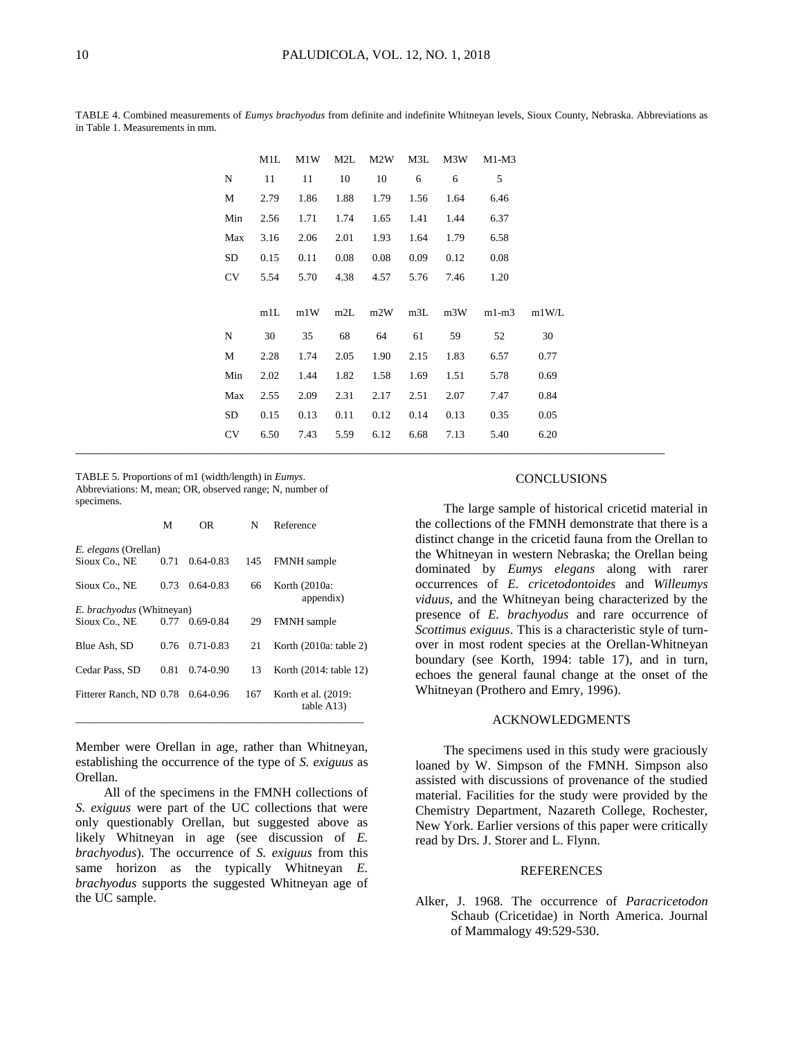|            | M1L  | M1W  | M2L  | M <sub>2</sub> W | M3L  | M3W  | $M1-M3$ |       |
|------------|------|------|------|------------------|------|------|---------|-------|
| N          | 11   | 11   | 10   | 10               | 6    | 6    | 5       |       |
| M          | 2.79 | 1.86 | 1.88 | 1.79             | 1.56 | 1.64 | 6.46    |       |
| Min        | 2.56 | 1.71 | 1.74 | 1.65             | 1.41 | 1.44 | 6.37    |       |
| Max        | 3.16 | 2.06 | 2.01 | 1.93             | 1.64 | 1.79 | 6.58    |       |
| SD         | 0.15 | 0.11 | 0.08 | 0.08             | 0.09 | 0.12 | 0.08    |       |
| <b>CV</b>  | 5.54 | 5.70 | 4.38 | 4.57             | 5.76 | 7.46 | 1.20    |       |
|            |      |      |      |                  |      |      |         |       |
|            | m1L  | m1W  | m2L  | m2W              | m3L  | m3W  | $m1-m3$ | m1W/L |
| $_{\rm N}$ | 30   | 35   | 68   | 64               | 61   | 59   | 52      | 30    |
|            |      |      |      |                  |      |      |         |       |
| M          | 2.28 | 1.74 | 2.05 | 1.90             | 2.15 | 1.83 | 6.57    | 0.77  |
| Min        | 2.02 | 1.44 | 1.82 | 1.58             | 1.69 | 1.51 | 5.78    | 0.69  |
| Max        | 2.55 | 2.09 | 2.31 | 2.17             | 2.51 | 2.07 | 7.47    | 0.84  |
| ${\rm SD}$ | 0.15 | 0.13 | 0.11 | 0.12             | 0.14 | 0.13 | 0.35    | 0.05  |
| CV         | 6.50 | 7.43 | 5.59 | 6.12             | 6.68 | 7.13 | 5.40    | 6.20  |

TABLE 4. Combined measurements of *Eumys brachyodus* from definite and indefinite Whitneyan levels, Sioux County, Nebraska. Abbreviations as in Table 1. Measurements in mm.

TABLE 5. Proportions of m1 (width/length) in *Eumys*. Abbreviations: M, mean; OR, observed range; N, number of specimens.

|                                  | M    | 0R               | N   | Reference                         |
|----------------------------------|------|------------------|-----|-----------------------------------|
| <i>E. elegans</i> (Orellan)      |      |                  |     |                                   |
| Sioux Co., NE                    | 0.71 | $0.64 - 0.83$    | 145 | <b>FMNH</b> sample                |
| Sioux Co., NE                    | 0.73 | $0.64 - 0.83$    | 66  | Korth (2010a:<br>appendix)        |
| <i>E. brachyodus</i> (Whitneyan) |      |                  |     |                                   |
| Sioux Co., NE                    |      | $0.77$ 0.69-0.84 | 29  | FMNH sample                       |
| Blue Ash, SD                     | 0.76 | $0.71 - 0.83$    | 21  | Korth $(2010a:$ table 2)          |
| Cedar Pass, SD                   | 0.81 | $0.74 - 0.90$    | 13  | Korth (2014: table 12)            |
| Fitterer Ranch, ND 0.78          |      | 0.64-0.96        | 167 | Korth et al. (2019:<br>table A13) |

Member were Orellan in age, rather than Whitneyan, establishing the occurrence of the type of *S. exiguus* as Orellan.

All of the specimens in the FMNH collections of *S. exiguus* were part of the UC collections that were only questionably Orellan, but suggested above as likely Whitneyan in age (see discussion of *E. brachyodus*). The occurrence of *S. exiguus* from this same horizon as the typically Whitneyan *E. brachyodus* supports the suggested Whitneyan age of the UC sample.

### **CONCLUSIONS**

The large sample of historical cricetid material in the collections of the FMNH demonstrate that there is a distinct change in the cricetid fauna from the Orellan to the Whitneyan in western Nebraska; the Orellan being dominated by *Eumys elegans* along with rarer occurrences of *E. cricetodontoides* and *Willeumys viduus*, and the Whitneyan being characterized by the presence of *E. brachyodus* and rare occurrence of *Scottimus exiguus*. This is a characteristic style of turnover in most rodent species at the Orellan-Whitneyan boundary (see Korth, 1994: table 17), and in turn, echoes the general faunal change at the onset of the Whitneyan (Prothero and Emry, 1996).

### ACKNOWLEDGMENTS

The specimens used in this study were graciously loaned by W. Simpson of the FMNH. Simpson also assisted with discussions of provenance of the studied material. Facilities for the study were provided by the Chemistry Department, Nazareth College, Rochester, New York. Earlier versions of this paper were critically read by Drs. J. Storer and L. Flynn.

#### REFERENCES

Alker, J. 1968. The occurrence of *Paracricetodon* Schaub (Cricetidae) in North America. Journal of Mammalogy 49:529-530.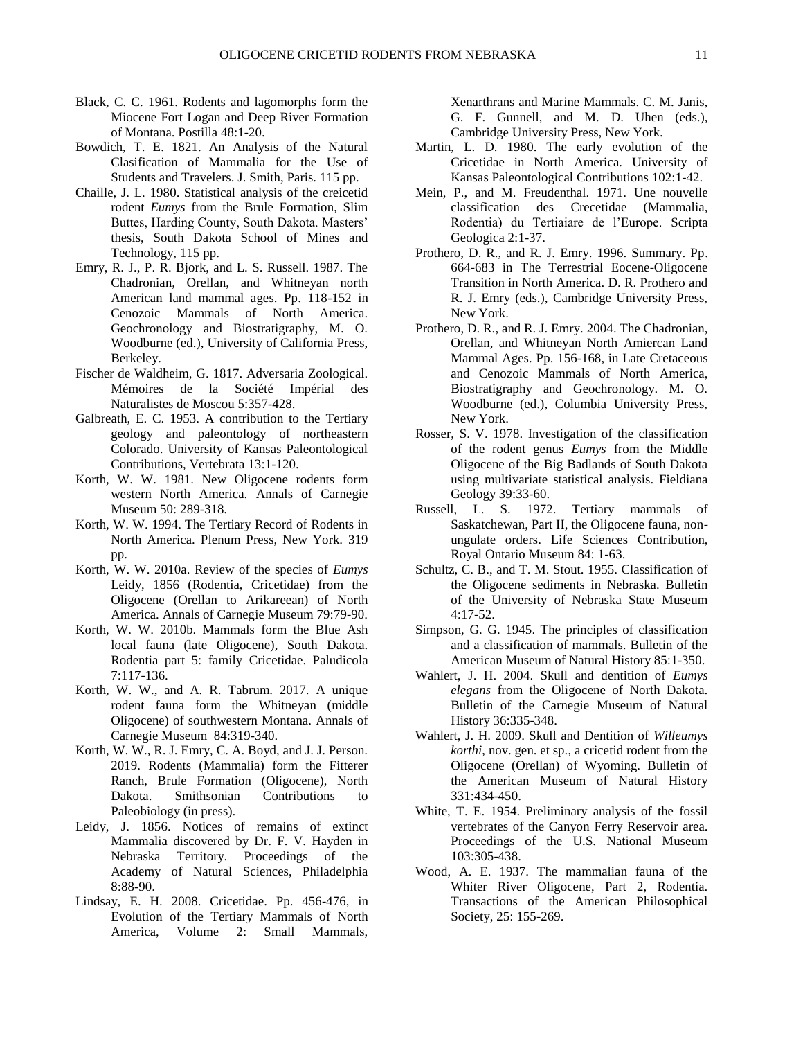- Black, C. C. 1961. Rodents and lagomorphs form the Miocene Fort Logan and Deep River Formation of Montana. Postilla 48:1-20.
- Bowdich, T. E. 1821. An Analysis of the Natural Clasification of Mammalia for the Use of Students and Travelers. J. Smith, Paris. 115 pp.
- Chaille, J. L. 1980. Statistical analysis of the creicetid rodent *Eumys* from the Brule Formation, Slim Buttes, Harding County, South Dakota. Masters' thesis, South Dakota School of Mines and Technology, 115 pp.
- Emry, R. J., P. R. Bjork, and L. S. Russell. 1987. The Chadronian, Orellan, and Whitneyan north American land mammal ages. Pp. 118-152 in Cenozoic Mammals of North America. Geochronology and Biostratigraphy, M. O. Woodburne (ed.), University of California Press, Berkeley.
- Fischer de Waldheim, G. 1817. Adversaria Zoological. Mémoires de la Société Impérial des Naturalistes de Moscou 5:357-428.
- Galbreath, E. C. 1953. A contribution to the Tertiary geology and paleontology of northeastern Colorado. University of Kansas Paleontological Contributions, Vertebrata 13:1-120.
- Korth, W. W. 1981. New Oligocene rodents form western North America. Annals of Carnegie Museum 50: 289-318.
- Korth, W. W. 1994. The Tertiary Record of Rodents in North America. Plenum Press, New York. 319 pp.
- Korth, W. W. 2010a. Review of the species of *Eumys* Leidy, 1856 (Rodentia, Cricetidae) from the Oligocene (Orellan to Arikareean) of North America. Annals of Carnegie Museum 79:79-90.
- Korth, W. W. 2010b. Mammals form the Blue Ash local fauna (late Oligocene), South Dakota. Rodentia part 5: family Cricetidae. Paludicola 7:117-136.
- Korth, W. W., and A. R. Tabrum. 2017. A unique rodent fauna form the Whitneyan (middle Oligocene) of southwestern Montana. Annals of Carnegie Museum 84:319-340.
- Korth, W. W., R. J. Emry, C. A. Boyd, and J. J. Person. 2019. Rodents (Mammalia) form the Fitterer Ranch, Brule Formation (Oligocene), North Dakota. Smithsonian Contributions to Paleobiology (in press).
- Leidy, J. 1856. Notices of remains of extinct Mammalia discovered by Dr. F. V. Hayden in Nebraska Territory. Proceedings of the Academy of Natural Sciences, Philadelphia 8:88-90.
- Lindsay, E. H. 2008. Cricetidae. Pp. 456-476, in Evolution of the Tertiary Mammals of North America, Volume 2: Small Mammals,

Xenarthrans and Marine Mammals. C. M. Janis, G. F. Gunnell, and M. D. Uhen (eds.), Cambridge University Press, New York.

- Martin, L. D. 1980. The early evolution of the Cricetidae in North America. University of Kansas Paleontological Contributions 102:1-42.
- Mein, P., and M. Freudenthal. 1971. Une nouvelle classification des Crecetidae (Mammalia, Rodentia) du Tertiaiare de l'Europe. Scripta Geologica 2:1-37.
- Prothero, D. R., and R. J. Emry. 1996. Summary. Pp. 664-683 in The Terrestrial Eocene-Oligocene Transition in North America. D. R. Prothero and R. J. Emry (eds.), Cambridge University Press, New York.
- Prothero, D. R., and R. J. Emry. 2004. The Chadronian, Orellan, and Whitneyan North Amiercan Land Mammal Ages. Pp. 156-168, in Late Cretaceous and Cenozoic Mammals of North America, Biostratigraphy and Geochronology. M. O. Woodburne (ed.), Columbia University Press, New York.
- Rosser, S. V. 1978. Investigation of the classification of the rodent genus *Eumys* from the Middle Oligocene of the Big Badlands of South Dakota using multivariate statistical analysis. Fieldiana Geology 39:33-60.
- Russell, L. S. 1972. Tertiary mammals of Saskatchewan, Part II, the Oligocene fauna, nonungulate orders. Life Sciences Contribution, Royal Ontario Museum 84: 1-63.
- Schultz, C. B., and T. M. Stout. 1955. Classification of the Oligocene sediments in Nebraska. Bulletin of the University of Nebraska State Museum 4:17-52.
- Simpson, G. G. 1945. The principles of classification and a classification of mammals. Bulletin of the American Museum of Natural History 85:1-350.
- Wahlert, J. H. 2004. Skull and dentition of *Eumys elegans* from the Oligocene of North Dakota. Bulletin of the Carnegie Museum of Natural History 36:335-348.
- Wahlert, J. H. 2009. Skull and Dentition of *Willeumys korthi*, nov. gen. et sp., a cricetid rodent from the Oligocene (Orellan) of Wyoming. Bulletin of the American Museum of Natural History 331:434-450.
- White, T. E. 1954. Preliminary analysis of the fossil vertebrates of the Canyon Ferry Reservoir area. Proceedings of the U.S. National Museum 103:305-438.
- Wood, A. E. 1937. The mammalian fauna of the Whiter River Oligocene, Part 2, Rodentia. Transactions of the American Philosophical Society, 25: 155-269.